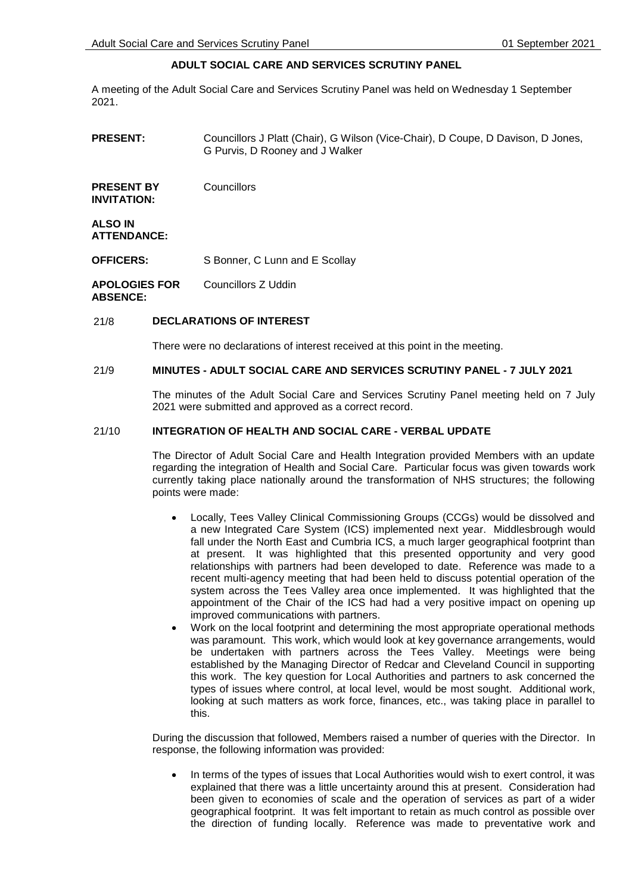# **ADULT SOCIAL CARE AND SERVICES SCRUTINY PANEL**

A meeting of the Adult Social Care and Services Scrutiny Panel was held on Wednesday 1 September 2021.

**PRESENT:** Councillors J Platt (Chair), G Wilson (Vice-Chair), D Coupe, D Davison, D Jones, G Purvis, D Rooney and J Walker **PRESENT BY INVITATION: Councillors ALSO IN ATTENDANCE: OFFICERS:** S Bonner, C Lunn and E Scollay **APOLOGIES FOR ABSENCE:** Councillors Z Uddin

## 21/8 **DECLARATIONS OF INTEREST**

There were no declarations of interest received at this point in the meeting.

## 21/9 **MINUTES - ADULT SOCIAL CARE AND SERVICES SCRUTINY PANEL - 7 JULY 2021**

The minutes of the Adult Social Care and Services Scrutiny Panel meeting held on 7 July 2021 were submitted and approved as a correct record.

#### 21/10 **INTEGRATION OF HEALTH AND SOCIAL CARE - VERBAL UPDATE**

The Director of Adult Social Care and Health Integration provided Members with an update regarding the integration of Health and Social Care. Particular focus was given towards work currently taking place nationally around the transformation of NHS structures; the following points were made:

- Locally, Tees Valley Clinical Commissioning Groups (CCGs) would be dissolved and a new Integrated Care System (ICS) implemented next year. Middlesbrough would fall under the North East and Cumbria ICS, a much larger geographical footprint than at present. It was highlighted that this presented opportunity and very good relationships with partners had been developed to date. Reference was made to a recent multi-agency meeting that had been held to discuss potential operation of the system across the Tees Valley area once implemented. It was highlighted that the appointment of the Chair of the ICS had had a very positive impact on opening up improved communications with partners.
- Work on the local footprint and determining the most appropriate operational methods was paramount. This work, which would look at key governance arrangements, would be undertaken with partners across the Tees Valley. Meetings were being established by the Managing Director of Redcar and Cleveland Council in supporting this work. The key question for Local Authorities and partners to ask concerned the types of issues where control, at local level, would be most sought. Additional work, looking at such matters as work force, finances, etc., was taking place in parallel to this.

During the discussion that followed, Members raised a number of queries with the Director. In response, the following information was provided:

 In terms of the types of issues that Local Authorities would wish to exert control, it was explained that there was a little uncertainty around this at present. Consideration had been given to economies of scale and the operation of services as part of a wider geographical footprint. It was felt important to retain as much control as possible over the direction of funding locally. Reference was made to preventative work and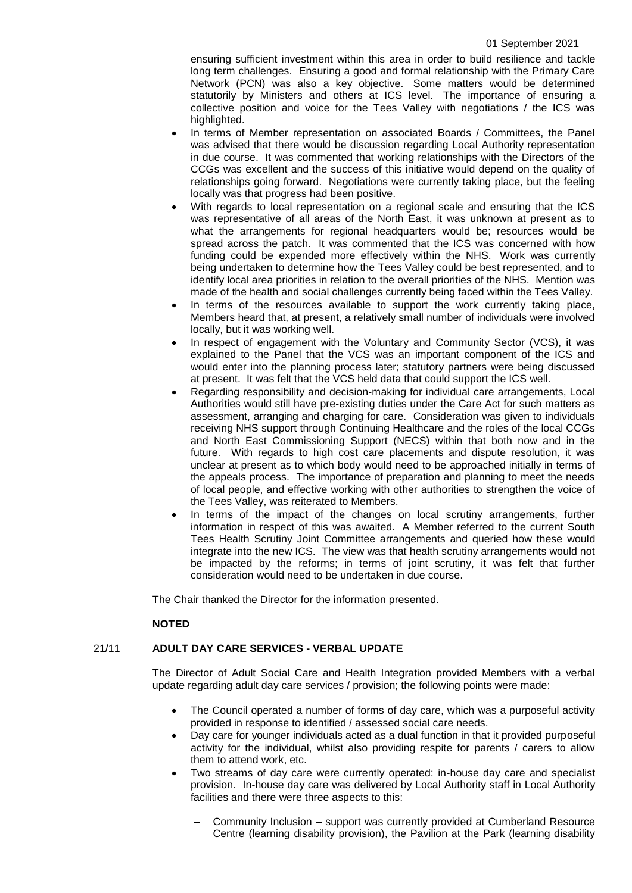ensuring sufficient investment within this area in order to build resilience and tackle long term challenges. Ensuring a good and formal relationship with the Primary Care Network (PCN) was also a key objective. Some matters would be determined statutorily by Ministers and others at ICS level. The importance of ensuring a collective position and voice for the Tees Valley with negotiations / the ICS was highlighted.

- In terms of Member representation on associated Boards / Committees, the Panel was advised that there would be discussion regarding Local Authority representation in due course. It was commented that working relationships with the Directors of the CCGs was excellent and the success of this initiative would depend on the quality of relationships going forward. Negotiations were currently taking place, but the feeling locally was that progress had been positive.
- With regards to local representation on a regional scale and ensuring that the ICS was representative of all areas of the North East, it was unknown at present as to what the arrangements for regional headquarters would be; resources would be spread across the patch. It was commented that the ICS was concerned with how funding could be expended more effectively within the NHS. Work was currently being undertaken to determine how the Tees Valley could be best represented, and to identify local area priorities in relation to the overall priorities of the NHS. Mention was made of the health and social challenges currently being faced within the Tees Valley.
- In terms of the resources available to support the work currently taking place, Members heard that, at present, a relatively small number of individuals were involved locally, but it was working well.
- In respect of engagement with the Voluntary and Community Sector (VCS), it was explained to the Panel that the VCS was an important component of the ICS and would enter into the planning process later; statutory partners were being discussed at present. It was felt that the VCS held data that could support the ICS well.
- Regarding responsibility and decision-making for individual care arrangements, Local Authorities would still have pre-existing duties under the Care Act for such matters as assessment, arranging and charging for care. Consideration was given to individuals receiving NHS support through Continuing Healthcare and the roles of the local CCGs and North East Commissioning Support (NECS) within that both now and in the future. With regards to high cost care placements and dispute resolution, it was unclear at present as to which body would need to be approached initially in terms of the appeals process. The importance of preparation and planning to meet the needs of local people, and effective working with other authorities to strengthen the voice of the Tees Valley, was reiterated to Members.
- In terms of the impact of the changes on local scrutiny arrangements, further information in respect of this was awaited. A Member referred to the current South Tees Health Scrutiny Joint Committee arrangements and queried how these would integrate into the new ICS. The view was that health scrutiny arrangements would not be impacted by the reforms; in terms of joint scrutiny, it was felt that further consideration would need to be undertaken in due course.

The Chair thanked the Director for the information presented.

## **NOTED**

## 21/11 **ADULT DAY CARE SERVICES - VERBAL UPDATE**

The Director of Adult Social Care and Health Integration provided Members with a verbal update regarding adult day care services / provision; the following points were made:

- The Council operated a number of forms of day care, which was a purposeful activity provided in response to identified / assessed social care needs.
- Day care for younger individuals acted as a dual function in that it provided purposeful activity for the individual, whilst also providing respite for parents / carers to allow them to attend work, etc.
- Two streams of day care were currently operated: in-house day care and specialist provision. In-house day care was delivered by Local Authority staff in Local Authority facilities and there were three aspects to this:
	- Community Inclusion support was currently provided at Cumberland Resource Centre (learning disability provision), the Pavilion at the Park (learning disability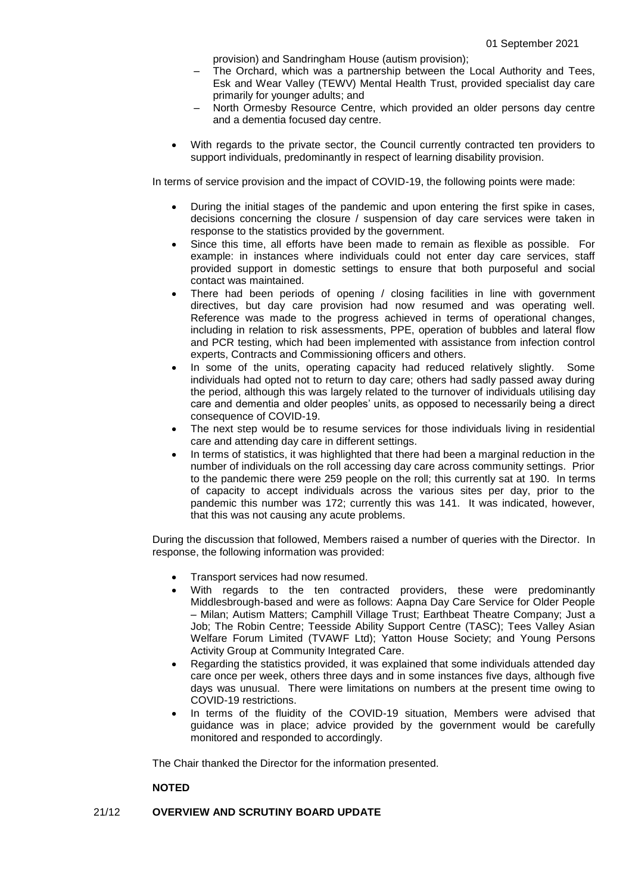provision) and Sandringham House (autism provision);

- The Orchard, which was a partnership between the Local Authority and Tees, Esk and Wear Valley (TEWV) Mental Health Trust, provided specialist day care primarily for younger adults; and
- North Ormesby Resource Centre, which provided an older persons day centre and a dementia focused day centre.
- With regards to the private sector, the Council currently contracted ten providers to support individuals, predominantly in respect of learning disability provision.

In terms of service provision and the impact of COVID-19, the following points were made:

- During the initial stages of the pandemic and upon entering the first spike in cases, decisions concerning the closure / suspension of day care services were taken in response to the statistics provided by the government.
- Since this time, all efforts have been made to remain as flexible as possible. For example: in instances where individuals could not enter day care services, staff provided support in domestic settings to ensure that both purposeful and social contact was maintained.
- There had been periods of opening / closing facilities in line with government directives, but day care provision had now resumed and was operating well. Reference was made to the progress achieved in terms of operational changes, including in relation to risk assessments, PPE, operation of bubbles and lateral flow and PCR testing, which had been implemented with assistance from infection control experts, Contracts and Commissioning officers and others.
- In some of the units, operating capacity had reduced relatively slightly. Some individuals had opted not to return to day care; others had sadly passed away during the period, although this was largely related to the turnover of individuals utilising day care and dementia and older peoples' units, as opposed to necessarily being a direct consequence of COVID-19.
- The next step would be to resume services for those individuals living in residential care and attending day care in different settings.
- In terms of statistics, it was highlighted that there had been a marginal reduction in the number of individuals on the roll accessing day care across community settings. Prior to the pandemic there were 259 people on the roll; this currently sat at 190. In terms of capacity to accept individuals across the various sites per day, prior to the pandemic this number was 172; currently this was 141. It was indicated, however, that this was not causing any acute problems.

During the discussion that followed, Members raised a number of queries with the Director. In response, the following information was provided:

- Transport services had now resumed.
- With regards to the ten contracted providers, these were predominantly Middlesbrough-based and were as follows: Aapna Day Care Service for Older People – Milan; Autism Matters; Camphill Village Trust; Earthbeat Theatre Company; Just a Job; The Robin Centre; Teesside Ability Support Centre (TASC); Tees Valley Asian Welfare Forum Limited (TVAWF Ltd); Yatton House Society; and Young Persons Activity Group at Community Integrated Care.
- Regarding the statistics provided, it was explained that some individuals attended day care once per week, others three days and in some instances five days, although five days was unusual. There were limitations on numbers at the present time owing to COVID-19 restrictions.
- In terms of the fluidity of the COVID-19 situation, Members were advised that guidance was in place; advice provided by the government would be carefully monitored and responded to accordingly.

The Chair thanked the Director for the information presented.

## **NOTED**

## 21/12 **OVERVIEW AND SCRUTINY BOARD UPDATE**